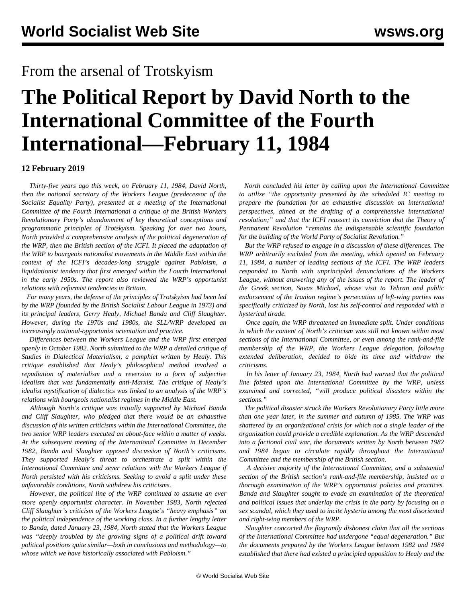## **The Political Report by David North to the International Committee of the Fourth International—February 11, 1984**

## **12 February 2019**

 *Thirty-five years ago this week, on February 11, 1984, David North, then the national secretary of the Workers League (predecessor of the Socialist Equality Party), presented at a meeting of the International Committee of the Fourth International a critique of the British Workers Revolutionary Party's abandonment of key theoretical conceptions and programmatic principles of Trotskyism. Speaking for over two hours, North provided a comprehensive analysis of the political degeneration of the WRP, then the British section of the ICFI. It placed the adaptation of the WRP to bourgeois nationalist movements in the Middle East within the context of the ICFI's decades-long struggle against Pabloism, a liquidationist tendency that first emerged within the Fourth International in the early 1950s. The report also reviewed the WRP's opportunist relations with reformist tendencies in Britain.*

 *For many years, the defense of the principles of Trotskyism had been led by the WRP (founded by the British Socialist Labour League in 1973) and its principal leaders, Gerry Healy, Michael Banda and Cliff Slaughter. However, during the 1970s and 1980s, the SLL/WRP developed an increasingly national-opportunist orientation and practice.*

 *Differences between the Workers League and the WRP first emerged openly in October 1982. North submitted to the WRP a detailed critique of Studies in Dialectical Materialism, a pamphlet written by Healy. This critique established that Healy's philosophical method involved a repudiation of materialism and a reversion to a form of subjective idealism that was fundamentally anti-Marxist. The critique of Healy's idealist mystification of dialectics was linked to an analysis of the WRP's relations with bourgeois nationalist regimes in the Middle East.*

 *Although North's critique was initially supported by Michael Banda and Cliff Slaughter, who pledged that there would be an exhaustive discussion of his written criticisms within the International Committee, the two senior WRP leaders executed an about-face within a matter of weeks. At the subsequent meeting of the International Committee in December 1982, Banda and Slaughter opposed discussion of North's criticisms. They supported Healy's threat to orchestrate a split within the International Committee and sever relations with the Workers League if North persisted with his criticisms. Seeking to avoid a split under these unfavorable conditions, North withdrew his criticisms.*

 *However, the political line of the WRP continued to assume an ever more openly opportunist character. In November 1983, North rejected Cliff Slaughter's criticism of the Workers League's "heavy emphasis" on the political independence of the working class. In a further lengthy letter to Banda, dated January 23, 1984, North stated that the Workers League was "deeply troubled by the growing signs of a political drift toward political positions quite similar—both in conclusions and methodology—to whose which we have historically associated with Pabloism."*

 *North concluded his letter by calling upon the International Committee to utilize "the opportunity presented by the scheduled IC meeting to prepare the foundation for an exhaustive discussion on international perspectives, aimed at the drafting of a comprehensive international resolution;" and that the ICFI reassert its conviction that the Theory of Permanent Revolution "remains the indispensable scientific foundation for the building of the World Party of Socialist Revolution."*

 *But the WRP refused to engage in a discussion of these differences. The WRP arbitrarily excluded from the meeting, which opened on February 11, 1984, a number of leading sections of the ICFI. The WRP leaders responded to North with unprincipled denunciations of the Workers League, without answering any of the issues of the report. The leader of the Greek section, Savas Michael, whose visit to Tehran and public endorsement of the Iranian regime's persecution of left-wing parties was specifically criticized by North, lost his self-control and responded with a hysterical tirade.*

 *Once again, the WRP threatened an immediate split. Under conditions in which the content of North's criticism was still not known within most sections of the International Committee, or even among the rank-and-file membership of the WRP, the Workers League delegation, following extended deliberation, decided to bide its time and withdraw the criticisms.*

 *In his letter of January 23, 1984, North had warned that the political line foisted upon the International Committee by the WRP, unless examined and corrected, "will produce political disasters within the sections."*

 *The political disaster struck the Workers Revolutionary Party little more than one year later, in the summer and autumn of 1985. The WRP was shattered by an organizational crisis for which not a single leader of the organization could provide a credible explanation. As the WRP descended into a factional civil war, the documents written by North between 1982 and 1984 began to circulate rapidly throughout the International Committee and the membership of the British section.*

 *A decisive majority of the International Committee, and a substantial section of the British section's rank-and-file membership, insisted on a thorough examination of the WRP's opportunist policies and practices. Banda and Slaughter sought to evade an examination of the theoretical and political issues that underlay the crisis in the party by focusing on a sex scandal, which they used to incite hysteria among the most disoriented and right-wing members of the WRP.*

 *Slaughter concocted the flagrantly dishonest claim that all the sections of the International Committee had undergone "equal degeneration." But the documents prepared by the Workers League between 1982 and 1984 established that there had existed a principled opposition to Healy and the*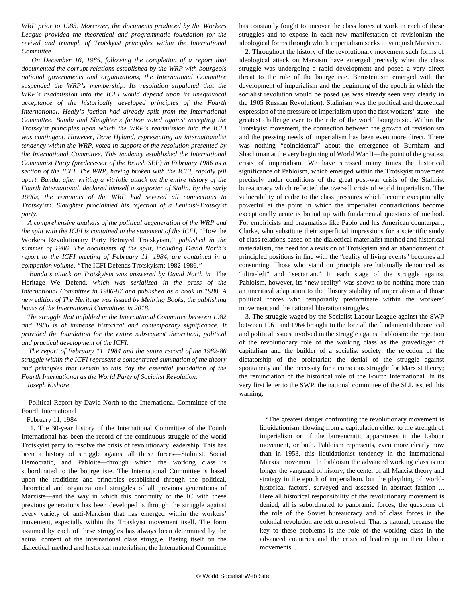*WRP prior to 1985. Moreover, the documents produced by the Workers League provided the theoretical and programmatic foundation for the revival and triumph of Trotskyist principles within the International Committee.*

 *On December 16, 1985, following the completion of a report that documented the corrupt relations established by the WRP with bourgeois national governments and organizations, the International Committee suspended the WRP's membership. Its resolution stipulated that the WRP's readmission into the ICFI would depend upon its unequivocal acceptance of the historically developed principles of the Fourth International. Healy's faction had already split from the International Committee. Banda and Slaughter's faction voted against accepting the Trotskyist principles upon which the WRP's readmission into the ICFI was contingent. However, Dave Hyland, representing an internationalist tendency within the WRP, voted in support of the resolution presented by the International Committee. This tendency established the International Communist Party (predecessor of the British SEP) in February 1986 as a section of the ICFI. The WRP, having broken with the ICFI, rapidly fell apart. Banda, after writing a vitriolic attack on the entire history of the Fourth International, declared himself a supporter of Stalin. By the early 1990s, the remnants of the WRP had severed all connections to Trotskyism. Slaughter proclaimed his rejection of a Leninist-Trotskyist party.*

 *A comprehensive analysis of the political degeneration of the WRP and the split with the ICFI is contained in the statement of the ICFI, "*[How the](https://mehring.com/icfi-j13-no1.html) [Workers Revolutionary Party Betrayed Trotskyism](https://mehring.com/icfi-j13-no1.html)*," published in the summer of 1986. The documents of the split, including David North's report to the ICFI meeting of February 11, 1984, are contained in a companion volume, "*[The ICFI Defends Trotskyism: 1982-1986](https://mehring.com/icfi-j13-no2.html)*."*

 *Banda's attack on Trotskyism was answered by David North in* [The](https://mehring.com/the-heritage-we-defend-a-contribution-to-the-history-of-the-fourth-international-2nd-edition.html) [Heritage We Defend](https://mehring.com/the-heritage-we-defend-a-contribution-to-the-history-of-the-fourth-international-2nd-edition.html)*, which was serialized in the press of the International Committee in 1986-87 and published as a book in 1988. A new edition of The Heritage was issued by Mehring Books, the publishing house of the International Committee, in 2018.*

 *The struggle that unfolded in the International Committee between 1982 and 1986 is of immense historical and contemporary significance. It provided the foundation for the entire subsequent theoretical, political and practical development of the ICFI.*

 *The report of February 11, 1984 and the entire record of the 1982-86 struggle within the ICFI represent a concentrated summation of the theory and principles that remain to this day the essential foundation of the Fourth International as the World Party of Socialist Revolution.*

## *Joseph Kishore*

 $\overline{\phantom{a}}$ 

 Political Report by David North to the International Committee of the Fourth International

February 11, 1984

 1. The 30-year history of the International Committee of the Fourth International has been the record of the continuous struggle of the world Trotskyist party to resolve the crisis of revolutionary leadership. This has been a history of struggle against all those forces—Stalinist, Social Democratic, and Pabloite—through which the working class is subordinated to the bourgeoisie. The International Committee is based upon the traditions and principles established through the political, theoretical and organizational struggles of all previous generations of Marxists—and the way in which this continuity of the IC with these previous generations has been developed is through the struggle against every variety of anti-Marxism that has emerged within the workers' movement, especially within the Trotskyist movement itself. The form assumed by each of these struggles has always been determined by the actual content of the international class struggle. Basing itself on the dialectical method and historical materialism, the International Committee has constantly fought to uncover the class forces at work in each of these struggles and to expose in each new manifestation of revisionism the ideological forms through which imperialism seeks to vanquish Marxism.

 2. Throughout the history of the revolutionary movement such forms of ideological attack on Marxism have emerged precisely when the class struggle was undergoing a rapid development and posed a very direct threat to the rule of the bourgeoisie. Bernsteinism emerged with the development of imperialism and the beginning of the epoch in which the socialist revolution would be posed (as was already seen very clearly in the 1905 Russian Revolution). Stalinism was the political and theoretical expression of the pressure of imperialism upon the first workers' state—the greatest challenge ever to the rule of the world bourgeoisie. Within the Trotskyist movement, the connection between the growth of revisionism and the pressing needs of imperialism has been even more direct. There was nothing "coincidental" about the emergence of Burnham and Shachtman at the very beginning of World War II—the point of the greatest crisis of imperialism. We have stressed many times the historical significance of Pabloism, which emerged within the Trotskyist movement precisely under conditions of the great post-war crisis of the Stalinist bureaucracy which reflected the over-all crisis of world imperialism. The vulnerability of cadre to the class pressures which become exceptionally powerful at the point in which the imperialist contradictions become exceptionally acute is bound up with fundamental questions of method. For empiricists and pragmatists like Pablo and his American counterpart, Clarke, who substitute their superficial impressions for a scientific study of class relations based on the dialectical materialist method and historical materialism, the need for a revision of Trotskyism and an abandonment of principled positions in line with the "reality of living events" becomes all consuming. Those who stand on principle are habitually denounced as "ultra-left" and "sectarian." In each stage of the struggle against Pabloism, however, its "new reality" was shown to be nothing more than an uncritical adaptation to the illusory stability of imperialism and those political forces who temporarily predominate within the workers' movement and the national liberation struggles.

 3. The struggle waged by the Socialist Labour League against the SWP between 1961 and 1964 brought to the fore all the fundamental theoretical and political issues involved in the struggle against Pabloism: the rejection of the revolutionary role of the working class as the gravedigger of capitalism and the builder of a socialist society; the rejection of the dictatorship of the proletariat; the denial of the struggle against spontaneity and the necessity for a conscious struggle for Marxist theory; the renunciation of the historical role of the Fourth International. In its very first letter to the SWP, the national committee of the SLL issued this warning:

 "The greatest danger confronting the revolutionary movement is liquidationism, flowing from a capitulation either to the strength of imperialism or of the bureaucratic apparatuses in the Labour movement, or both. Pabloism represents, even more clearly now than in 1953, this liquidationist tendency in the international Marxist movement. In Pabloism the advanced working class is no longer the vanguard of history, the center of all Marxist theory and strategy in the epoch of imperialism, but the plaything of 'worldhistorical factors', surveyed and assessed in abstract fashion ... Here all historical responsibility of the revolutionary movement is denied, all is subordinated to panoramic forces; the questions of the role of the Soviet bureaucracy and of class forces in the colonial revolution are left unresolved. That is natural, because the key to these problems is the role of the working class in the advanced countries and the crisis of leadership in their labour movements ...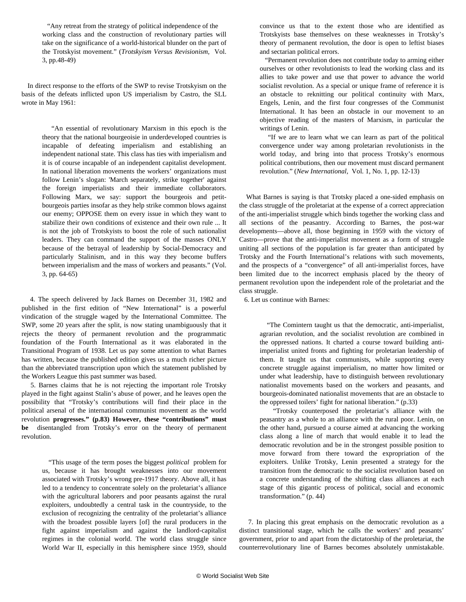"Any retreat from the strategy of political independence of the working class and the construction of revolutionary parties will take on the significance of a world-historical blunder on the part of the Trotskyist movement." (*Trotskyism Versus Revisionism,* Vol. 3, pp.48-49)

 In direct response to the efforts of the SWP to revise Trotskyism on the basis of the defeats inflicted upon US imperialism by Castro, the SLL wrote in May 1961:

> "An essential of revolutionary Marxism in this epoch is the theory that the national bourgeoisie in underdeveloped countries is incapable of defeating imperialism and establishing an independent national state. This class has ties with imperialism and it is of course incapable of an independent capitalist development. In national liberation movements the workers' organizations must follow Lenin's slogan: 'March separately, strike together' against the foreign imperialists and their immediate collaborators. Following Marx, we say: support the bourgeois and petitbourgeois parties insofar as they help strike common blows against our enemy; OPPOSE them on every issue in which they want to stabilize their own conditions of existence and their own rule ... It is not the job of Trotskyists to boost the role of such nationalist leaders. They can command the support of the masses ONLY because of the betrayal of leadership by Social-Democracy and particularly Stalinism, and in this way they become buffers between imperialism and the mass of workers and peasants." (Vol. 3, pp. 64-65)

 4. The speech delivered by Jack Barnes on December 31, 1982 and published in the first edition of "New International" is a powerful vindication of the struggle waged by the International Committee. The SWP, some 20 years after the split, is now stating unambiguously that it rejects the theory of permanent revolution and the programmatic foundation of the Fourth International as it was elaborated in the Transitional Program of 1938. Let us pay some attention to what Barnes has written, because the published edition gives us a much richer picture than the abbreviated transcription upon which the statement published by the Workers League this past summer was based.

 5. Barnes claims that he is not rejecting the important role Trotsky played in the fight against Stalin's abuse of power, and he leaves open the possibility that "Trotsky's contributions will find their place in the political arsenal of the international communist movement as the world revolution **progresses." (p.83) However, these "contributions" must be** disentangled from Trotsky's error on the theory of permanent revolution.

 "This usage of the term poses the biggest *political* problem for us, because it has brought weaknesses into our movement associated with Trotsky's wrong pre-1917 theory. Above all, it has led to a tendency to concentrate solely on the proletariat's alliance with the agricultural laborers and poor peasants against the rural exploiters, undoubtedly a central task in the countryside, to the exclusion of recognizing the centrality of the proletariat's alliance with the broadest possible layers [of] the rural producers in the fight against imperialism and against the landlord-capitalist regimes in the colonial world. The world class struggle since World War II, especially in this hemisphere since 1959, should convince us that to the extent those who are identified as Trotskyists base themselves on these weaknesses in Trotsky's theory of permanent revolution, the door is open to leftist biases and sectarian political errors.

 "Permanent revolution does not contribute today to arming either ourselves or other revolutionists to lead the working class and its allies to take power and use that power to advance the world socialist revolution. As a special or unique frame of reference it is an obstacle to reknitting our political continuity with Marx, Engels, Lenin, and the first four congresses of the Communist International. It has been an obstacle in our movement to an objective reading of the masters of Marxism, in particular the writings of Lenin.

 "If we are to learn what we can learn as part of the political convergence under way among proletarian revolutionists in the world today, and bring into that process Trotsky's enormous political contributions, then our movement must discard permanent revolution." (*New International,* Vol. 1, No. 1, pp. 12-13)

 What Barnes is saying is that Trotsky placed a one-sided emphasis on the class struggle of the proletariat at the expense of a correct appreciation of the anti-imperialist struggle which binds together the working class and all sections of the peasantry. According to Barnes, the post-war developments—above all, those beginning in 1959 with the victory of Castro—prove that the anti-imperialist movement as a form of struggle uniting all sections of the population is far greater than anticipated by Trotsky and the Fourth International's relations with such movements, and the prospects of a "convergence" of all anti-imperialist forces, have been limited due to the incorrect emphasis placed by the theory of permanent revolution upon the independent role of the proletariat and the class struggle.

6. Let us continue with Barnes:

 "The Comintern taught us that the democratic, anti-imperialist, agrarian revolution, and the socialist revolution are combined in the oppressed nations. It charted a course toward building antiimperialist united fronts and fighting for proletarian leadership of them. It taught us that communists, while supporting every concrete struggle against imperialism, no matter how limited or under what leadership, have to distinguish between revolutionary nationalist movements based on the workers and peasants, and bourgeois-dominated nationalist movements that are an obstacle to the oppressed toilers' fight for national liberation." (p.33)

 "Trotsky counterposed the proletariat's alliance with the peasantry as a whole to an alliance with the rural poor. Lenin, on the other hand, pursued a course aimed at advancing the working class along a line of march that would enable it to lead the democratic revolution and be in the strongest possible position to move forward from there toward the expropriation of the exploiters. Unlike Trotsky, Lenin presented a strategy for the transition from the democratic to the socialist revolution based on a concrete understanding of the shifting class alliances at each stage of this gigantic process of political, social and economic transformation." (p. 44)

 7. In placing this great emphasis on the democratic revolution as a distinct transitional stage, which he calls the workers' and peasants' government, prior to and apart from the dictatorship of the proletariat, the counterrevolutionary line of Barnes becomes absolutely unmistakable.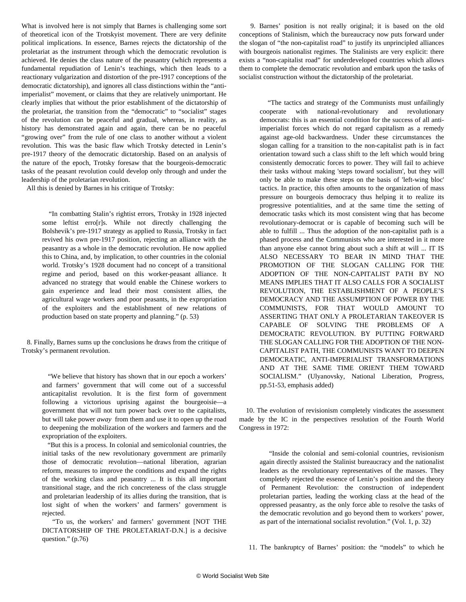What is involved here is not simply that Barnes is challenging some sort of theoretical icon of the Trotskyist movement. There are very definite political implications. In essence, Barnes rejects the dictatorship of the proletariat as the instrument through which the democratic revolution is achieved. He denies the class nature of the peasantry (which represents a fundamental repudiation of Lenin's teachings, which then leads to a reactionary vulgarization and distortion of the pre-1917 conceptions of the democratic dictatorship), and ignores all class distinctions within the "antiimperialist" movement, or claims that they are relatively unimportant. He clearly implies that without the prior establishment of the dictatorship of the proletariat, the transition from the "democratic" to "socialist" stages of the revolution can be peaceful and gradual, whereas, in reality, as history has demonstrated again and again, there can be no peaceful "growing over" from the rule of one class to another without a violent revolution. This was the basic flaw which Trotsky detected in Lenin's pre-1917 theory of the democratic dictatorship. Based on an analysis of the nature of the epoch, Trotsky foresaw that the bourgeois-democratic tasks of the peasant revolution could develop only through and under the leadership of the proletarian revolution.

All this is denied by Barnes in his critique of Trotsky:

 "In combatting Stalin's rightist errors, Trotsky in 1928 injected some leftist erro[r]s. While not directly challenging the Bolshevik's pre-1917 strategy as applied to Russia, Trotsky in fact revived his own pre-1917 position, rejecting an alliance with the peasantry as a whole in the democratic revolution. He now applied this to China, and, by implication, to other countries in the colonial world. Trotsky's 1928 document had no concept of a transitional regime and period, based on this worker-peasant alliance. It advanced no strategy that would enable the Chinese workers to gain experience and lead their most consistent allies, the agricultural wage workers and poor peasants, in the expropriation of the exploiters and the establishment of new relations of production based on state property and planning." (p. 53)

 8. Finally, Barnes sums up the conclusions he draws from the critique of Trotsky's permanent revolution.

 "We believe that history has shown that in our epoch a workers' and farmers' government that will come out of a successful anticapitalist revolution. It is the first form of government following a victorious uprising against the bourgeoisie—a government that will not turn power back over to the capitalists, but will take power *away* from them and use it to open up the road to deepening the mobilization of the workers and farmers and the expropriation of the exploiters.

 "But this is a process. In colonial and semicolonial countries, the initial tasks of the new revolutionary government are primarily those of democratic revolution—national liberation, agrarian reform, measures to improve the conditions and expand the rights of the working class and peasantry ... It is this all important transitional stage, and the rich concreteness of the class struggle and proletarian leadership of its allies during the transition, that is lost sight of when the workers' and farmers' government is rejected.

 "To us, the workers' and farmers' government [NOT THE DICTATORSHIP OF THE PROLETARIAT-D.N.] is a decisive question." (p.76)

 9. Barnes' position is not really original; it is based on the old conceptions of Stalinism, which the bureaucracy now puts forward under the slogan of "the non-capitalist road" to justify its unprincipled alliances with bourgeois nationalist regimes. The Stalinists are very explicit: there exists a "non-capitalist road" for underdeveloped countries which allows them to complete the democratic revolution and embark upon the tasks of socialist construction without the dictatorship of the proletariat.

 "The tactics and strategy of the Communists must unfailingly cooperate with national-revolutionary and revolutionary democrats: this is an essential condition for the success of all antiimperialist forces which do not regard capitalism as a remedy against age-old backwardness. Under these circumstances the slogan calling for a transition to the non-capitalist path is in fact orientation toward such a class shift to the left which would bring consistently democratic forces to power. They will fail to achieve their tasks without making 'steps toward socialism', but they will only be able to make these steps on the basis of 'left-wing bloc' tactics. In practice, this often amounts to the organization of mass pressure on bourgeois democracy thus helping it to realize its progressive potentialities, and at the same time the setting of democratic tasks which its most consistent wing that has become revolutionary-democrat or is capable of becoming such will be able to fulfill ... Thus the adoption of the non-capitalist path is a phased process and the Communists who are interested in it more than anyone else cannot bring about such a shift at will ... IT IS ALSO NECESSARY TO BEAR IN MIND THAT THE PROMOTION OF THE SLOGAN CALLING FOR THE ADOPTION OF THE NON-CAPITALIST PATH BY NO MEANS IMPLIES THAT IT ALSO CALLS FOR A SOCIALIST REVOLUTION, THE ESTABLISHMENT OF A PEOPLE'S DEMOCRACY AND THE ASSUMPTION OF POWER BY THE COMMUNISTS, FOR THAT WOULD AMOUNT TO ASSERTING THAT ONLY A PROLETARIAN TAKEOVER IS CAPABLE OF SOLVING THE PROBLEMS OF A DEMOCRATIC REVOLUTION. BY PUTTING FORWARD THE SLOGAN CALLING FOR THE ADOPTION OF THE NON-CAPITALIST PATH, THE COMMUNISTS WANT TO DEEPEN DEMOCRATIC, ANTI-IMPERIALIST TRANSFORMATIONS AND AT THE SAME TIME ORIENT THEM TOWARD SOCIALISM." (Ulyanovsky, National Liberation, Progress, pp.51-53, emphasis added)

 10. The evolution of revisionism completely vindicates the assessment made by the IC in the perspectives resolution of the Fourth World Congress in 1972:

 "Inside the colonial and semi-colonial countries, revisionism again directly assisted the Stalinist bureaucracy and the nationalist leaders as the revolutionary representatives of the masses. They completely rejected the essence of Lenin's position and the theory of Permanent Revolution: the construction of independent proletarian parties, leading the working class at the head of the oppressed peasantry, as the only force able to resolve the tasks of the democratic revolution and go beyond them to workers' power, as part of the international socialist revolution." (Vol. 1, p. 32)

11. The bankruptcy of Barnes' position: the "models" to which he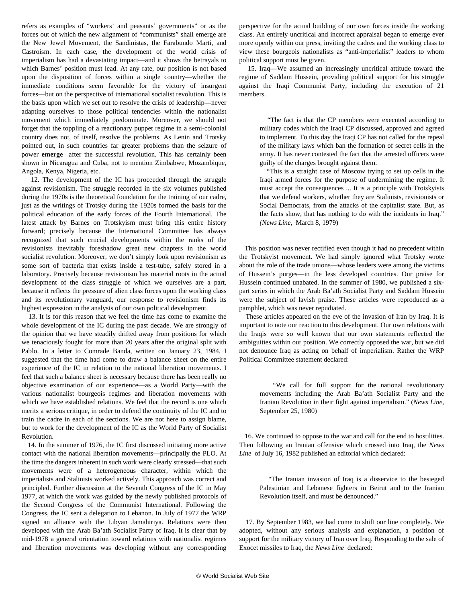refers as examples of "workers' and peasants' governments" or as the forces out of which the new alignment of "communists" shall emerge are the New Jewel Movement, the Sandinistas, the Farabundo Marti, and Castroism. In each case, the development of the world crisis of imperialism has had a devastating impact—and it shows the betrayals to which Barnes' position must lead. At any rate, our position is not based upon the disposition of forces within a single country—whether the immediate conditions seem favorable for the victory of insurgent forces—but on the perspective of international socialist revolution. This is the basis upon which we set out to resolve the crisis of leadership—never adapting ourselves to those political tendencies within the nationalist movement which immediately predominate. Moreover, we should not forget that the toppling of a reactionary puppet regime in a semi-colonial country does not, of itself, resolve the problems. As Lenin and Trotsky pointed out, in such countries far greater problems than the seizure of power **emerge** after the successful revolution. This has certainly been shown in Nicaragua and Cuba, not to mention Zimbabwe, Mozambique, Angola, Kenya, Nigeria, etc.

 12. The development of the IC has proceeded through the struggle against revisionism. The struggle recorded in the six volumes published during the 1970s is the theoretical foundation for the training of our cadre, just as the writings of Trotsky during the 1920s formed the basis for the political education of the early forces of the Fourth International. The latest attack by Barnes on Trotskyism must bring this entire history forward; precisely because the International Committee has always recognized that such crucial developments within the ranks of the revisionists inevitably foreshadow great new chapters in the world socialist revolution. Moreover, we don't simply look upon revisionism as some sort of bacteria that exists inside a test-tube, safely stored in a laboratory. Precisely because revisionism has material roots in the actual development of the class struggle of which we ourselves are a part, because it reflects the pressure of alien class forces upon the working class and its revolutionary vanguard, our response to revisionism finds its highest expression in the analysis of our own political development.

 13. It is for this reason that we feel the time has come to examine the whole development of the IC during the past decade. We are strongly of the opinion that we have steadily drifted away from positions for which we tenaciously fought for more than 20 years after the original split with Pablo. In a letter to Comrade Banda, written on January 23, 1984, I suggested that the time had come to draw a balance sheet on the entire experience of the IC in relation to the national liberation movements. I feel that such a balance sheet is necessary because there has been really no objective examination of our experience—as a World Party—with the various nationalist bourgeois regimes and liberation movements with which we have established relations. We feel that the record is one which merits a serious critique, in order to defend the continuity of the IC and to train the cadre in each of the sections. We are not here to assign blame, but to work for the development of the IC as the World Party of Socialist Revolution.

 14. In the summer of 1976, the IC first discussed initiating more active contact with the national liberation movements—principally the PLO. At the time the dangers inherent in such work were clearly stressed—that such movements were of a heterogeneous character, within which the imperialists and Stalinists worked actively. This approach was correct and principled. Further discussion at the Seventh Congress of the IC in May 1977, at which the work was guided by the newly published protocols of the Second Congress of the Communist International. Following the Congress, the IC sent a delegation to Lebanon. In July of 1977 the WRP signed an alliance with the Libyan Jamahiriya. Relations were then developed with the Arab Ba'ath Socialist Party of Iraq. It is clear that by mid-1978 a general orientation toward relations with nationalist regimes and liberation movements was developing without any corresponding perspective for the actual building of our own forces inside the working class. An entirely uncritical and incorrect appraisal began to emerge ever more openly within our press, inviting the cadres and the working class to view these bourgeois nationalists as "anti-imperialist" leaders to whom political support must be given.

 15. Iraq—We assumed an increasingly uncritical attitude toward the regime of Saddam Hussein, providing political support for his struggle against the Iraqi Communist Party, including the execution of 21 members.

 "The fact is that the CP members were executed according to military codes which the Iraqi CP discussed, approved and agreed to implement. To this day the Iraqi CP has not called for the repeal of the military laws which ban the formation of secret cells in the army. It has never contested the fact that the arrested officers were guilty of the charges brought against them.

 "This is a straight case of Moscow trying to set up cells in the Iraqi armed forces for the purpose of undermining the regime. It must accept the consequences ... It is a principle with Trotskyists that we defend workers, whether they are Stalinists, revisionists or Social Democrats, from the attacks of the capitalist state. But, as the facts show, that has nothing to do with the incidents in Iraq." *(News Line,* March 8, 1979)

 This position was never rectified even though it had no precedent within the Trotskyist movement. We had simply ignored what Trotsky wrote about the role of the trade unions—whose leaders were among the victims of Hussein's purges—in the less developed countries. Our praise for Hussein continued unabated. In the summer of 1980, we published a sixpart series in which the Arab Ba'ath Socialist Party and Saddam Hussein were the subject of lavish praise. These articles were reproduced as a pamphlet, which was never repudiated.

 These articles appeared on the eve of the invasion of Iran by Iraq. It is important to note our reaction to this development. Our own relations with the Iraqis were so well known that our own statements reflected the ambiguities within our position. We correctly opposed the war, but we did not denounce Iraq as acting on behalf of imperialism. Rather the WRP Political Committee statement declared:

 "We call for full support for the national revolutionary movements including the Arab Ba'ath Socialist Party and the Iranian Revolution in their fight against imperialism." (*News Line,* September 25, 1980)

 16. We continued to oppose to the war and call for the end to hostilities. Then following an Iranian offensive which crossed into Iraq, the *News Line* of July 16, 1982 published an editorial which declared:

 "The Iranian invasion of Iraq is a disservice to the besieged Palestinian and Lebanese fighters in Beirut and to the Iranian Revolution itself, and must be denounced."

 17. By September 1983, we had come to shift our line completely. We adopted, without any serious analysis and explanation, a position of support for the military victory of Iran over Iraq. Responding to the sale of Exocet missiles to Iraq, the *News Line* declared: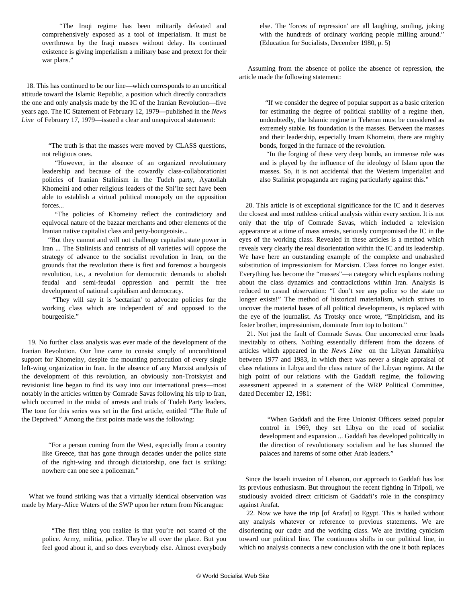"The Iraqi regime has been militarily defeated and comprehensively exposed as a tool of imperialism. It must be overthrown by the Iraqi masses without delay. Its continued existence is giving imperialism a military base and pretext for their war plans."

 18. This has continued to be our line—which corresponds to an uncritical attitude toward the Islamic Republic, a position which directly contradicts the one and only analysis made by the IC of the Iranian Revolution—five years ago. The IC Statement of February 12, 1979—published in the *News Line* of February 17, 1979—issued a clear and unequivocal statement:

> "The truth is that the masses were moved by CLASS questions, not religious ones.

 "However, in the absence of an organized revolutionary leadership and because of the cowardly class-collaborationist policies of Iranian Stalinism in the Tudeh party, Ayatollah Khomeini and other religious leaders of the Shi'ite sect have been able to establish a virtual political monopoly on the opposition forces...

 "The policies of Khomeiny reflect the contradictory and equivocal nature of the bazaar merchants and other elements of the Iranian native capitalist class and petty-bourgeoisie...

 "But they cannot and will not challenge capitalist state power in Iran ... The Stalinists and centrists of all varieties will oppose the strategy of advance to the socialist revolution in Iran, on the grounds that the revolution there is first and foremost a bourgeois revolution, i.e., a revolution for democratic demands to abolish feudal and semi-feudal oppression and permit the free development of national capitalism and democracy.

 "They will say it is 'sectarian' to advocate policies for the working class which are independent of and opposed to the bourgeoisie."

 19. No further class analysis was ever made of the development of the Iranian Revolution. Our line came to consist simply of unconditional support for Khomeiny, despite the mounting persecution of every single left-wing organization in Iran. In the absence of any Marxist analysis of the development of this revolution, an obviously non-Trotskyist and revisionist line began to find its way into our international press—most notably in the articles written by Comrade Savas following his trip to Iran, which occurred in the midst of arrests and trials of Tudeh Party leaders. The tone for this series was set in the first article, entitled "The Rule of the Deprived." Among the first points made was the following:

 "For a person coming from the West, especially from a country like Greece, that has gone through decades under the police state of the right-wing and through dictatorship, one fact is striking: nowhere can one see a policeman."

 What we found striking was that a virtually identical observation was made by Mary-Alice Waters of the SWP upon her return from Nicaragua:

 "The first thing you realize is that you're not scared of the police. Army, militia, police. They're all over the place. But you feel good about it, and so does everybody else. Almost everybody else. The 'forces of repression' are all laughing, smiling, joking with the hundreds of ordinary working people milling around." (Education for Socialists, December 1980, p. 5)

 Assuming from the absence of police the absence of repression, the article made the following statement:

 "If we consider the degree of popular support as a basic criterion for estimating the degree of political stability of a regime then, undoubtedly, the Islamic regime in Teheran must be considered as extremely stable. Its foundation is the masses. Between the masses and their leadership, especially Imam Khomeini, there are mighty bonds, forged in the furnace of the revolution.

 "In the forging of these very deep bonds, an immense role was and is played by the influence of the ideology of Islam upon the masses. So, it is not accidental that the Western imperialist and also Stalinist propaganda are raging particularly against this."

 20. This article is of exceptional significance for the IC and it deserves the closest and most ruthless critical analysis within every section. It is not only that the trip of Comrade Savas, which included a television appearance at a time of mass arrests, seriously compromised the IC in the eyes of the working class. Revealed in these articles is a method which reveals very clearly the real disorientation within the IC and its leadership. We have here an outstanding example of the complete and unabashed substitution of impressionism for Marxism. Class forces no longer exist. Everything has become the "masses"—a category which explains nothing about the class dynamics and contradictions within Iran. Analysis is reduced to casual observation: "I don't see any police so the state no longer exists!" The method of historical materialism, which strives to uncover the material bases of all political developments, is replaced with the eye of the journalist. As Trotsky once wrote, "Empiricism, and its foster brother, impressionism, dominate from top to bottom."

 21. Not just the fault of Comrade Savas. One uncorrected error leads inevitably to others. Nothing essentially different from the dozens of articles which appeared in the *News Line* on the Libyan Jamahiriya between 1977 and 1983, in which there was never a single appraisal of class relations in Libya and the class nature of the Libyan regime. At the high point of our relations with the Gaddafi regime, the following assessment appeared in a statement of the WRP Political Committee, dated December 12, 1981:

 "When Gaddafi and the Free Unionist Officers seized popular control in 1969, they set Libya on the road of socialist development and expansion ... Gaddafi has developed politically in the direction of revolutionary socialism and he has shunned the palaces and harems of some other Arab leaders."

 Since the Israeli invasion of Lebanon, our approach to Gaddafi has lost its previous enthusiasm. But throughout the recent fighting in Tripoli, we studiously avoided direct criticism of Gaddafi's role in the conspiracy against Arafat.

 22. Now we have the trip [of Arafat] to Egypt. This is hailed without any analysis whatever or reference to previous statements. We are disorienting our cadre and the working class. We are inviting cynicism toward our political line. The continuous shifts in our political line, in which no analysis connects a new conclusion with the one it both replaces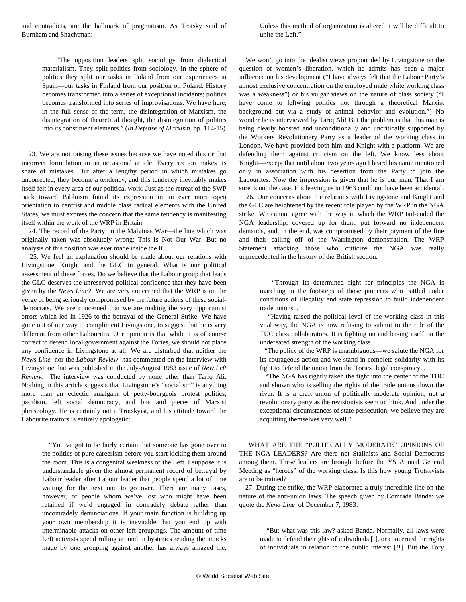and contradicts, are the hallmark of pragmatism. As Trotsky said of Burnham and Shachtman:

Unless this method of organization is altered it will be difficult to unite the Left."

 "The opposition leaders split sociology from dialectical materialism. They split politics from sociology. In the sphere of politics they split our tasks in Poland from our experiences in Spain—our tasks in Finland from our position on Poland. History becomes transformed into a series of exceptional incidents; politics becomes transformed into series of improvisations. We have here, in the full sense of the term, the disintegration of Marxism, the disintegration of theoretical thought, the disintegration of politics into its constituent elements." (*In Defense of Marxism*, pp. 114-15)

 23. We are not raising these issues because we have noted this or that incorrect formulation in an occasional article. Every section makes its share of mistakes. But after a lengthy period in which mistakes go uncorrected, they become a tendency, and this tendency inevitably makes itself felt in every area of our political work. Just as the retreat of the SWP back toward Pabloism found its expression in an ever more open orientation to centrist and middle class radical elements with the United States, we must express the concern that the same tendency is manifesting itself within the work of the WRP in Britain.

 24. The record of the Party on the Malvinas War—the line which was originally taken was absolutely wrong: This Is Not Our War. But no analysis of this position was ever made inside the IC.

 25. We feel an explanation should be made about our relations with Livingstone, Knight and the GLC in general. What is our political assessment of these forces. Do we believe that the Labour group that leads the GLC deserves the unreserved political confidence that they have been given by the *News Line?* We are very concerned that the WRP is on the verge of being seriously compromised by the future actions of these socialdemocrats. We are concerned that we are making the very opportunist errors which led in 1926 to the betrayal of the General Strike. We have gone out of our way to compliment Livingstone, to suggest that he is very different from other Labourites. Our opinion is that while it is of course correct to defend local government against the Tories, we should not place any confidence in Livingstone at all. We are disturbed that neither the *News Line* nor the *Labour Review* has commented on the interview with Livingstone that was published in the July-August 1983 issue of *New Left Review.* The interview was conducted by none other than Tariq Ali. Nothing in this article suggests that Livingstone's "socialism" is anything more than an eclectic amalgam of petty-bourgeois protest politics, pacifism, left social democracy, and bits and pieces of Marxist phraseology. He is certainly not a Trotskyist, and his attitude toward the Labourite traitors is entirely apologetic:

 "You've got to be fairly certain that someone has gone over to the politics of pure careerism before you start kicking them around the room. This is a congenital weakness of the Left. I suppose it is understandable given the almost permanent record of betrayal by Labour leader after Labour leader that people spend a lot of time waiting for the next one to go over. There are many cases, however, of people whom we've lost who might have been retained if we'd engaged in comradely debate rather than uncomradely denunciations. If your main function is building up your own membership it is inevitable that you end up with interminable attacks on other left groupings. The amount of time Left activists spend rolling around in hysterics reading the attacks made by one grouping against another has always amazed me.

We won't go into the idealist views propounded by Livingstone on the question of women's liberation, which he admits has been a major influence on his development ("I have always felt that the Labour Party's almost exclusive concentration on the employed male white working class was a weakness") or his vulgar views on the nature of class society ("I have come to leftwing politics not through a theoretical Marxist background but via a study of animal behavior and evolution.") No wonder he is interviewed by Tariq Ali! But the problem is that this man is being clearly boosted and unconditionally and uncritically supported by the Workers Revolutionary Party as a leader of the working class in London. We have provided both him and Knight with a platform. We are defending them against criticism on the left. We know less about Knight—except that until about two years ago I heard his name mentioned only in association with his desertion from the Party to join the Labourites. Now the impression is given that he is our man. That I am sure is not the case. His leaving us in 1963 could not have been accidental.

 26. Our concerns about the relations with Livingstone and Knight and the GLC are heightened by the recent role played by the WRP in the NGA strike. We cannot agree with the way in which the WRP tail-ended the NGA leadership, covered up for them, put forward no independent demands, and, in the end, was compromised by their payment of the fine and their calling off of the Warrington demonstration. The WRP Statement attacking those who criticize the NGA was really unprecedented in the history of the British section.

 "Through its determined fight for principles the NGA is marching in the footsteps of those pioneers who battled under conditions of illegality and state repression to build independent trade unions...

 "Having raised the political level of the working class in this vital way, the NGA is now refusing to submit to the rule of the TUC class collaborators. It is fighting on and basing itself on the undefeated strength of the working class.

 "The policy of the WRP is unambiguous—we salute the NGA for its courageous action and we stand in complete solidarity with its fight to defend the union from the Tories' legal conspiracy...

 "The NGA has rightly taken the fight into the center of the TUC and shown who is selling the rights of the trade unions down the river. It is a craft union of politically moderate opinion, not a revolutionary party as the revisionists seem to think. And under the exceptional circumstances of state persecution, we believe they are acquitting themselves very well."

 WHAT ARE THE "POLITICALLY MODERATE" OPINIONS OF THE NGA LEADERS? Are there not Stalinists and Social Democrats among them. These leaders are brought before the YS Annual General Meeting as "heroes" of the working class. Is this how young Trotskyists are to be trained?

 27. During the strike, the WRP elaborated a truly incredible line on the nature of the anti-union laws. The speech given by Comrade Banda: we quote the *News Line* of December 7, 1983:

 "But what was this law? asked Banda. Normally, all laws were made to defend the rights of individuals [!], or concerned the rights of individuals in relation to the public interest [!!]. But the Tory